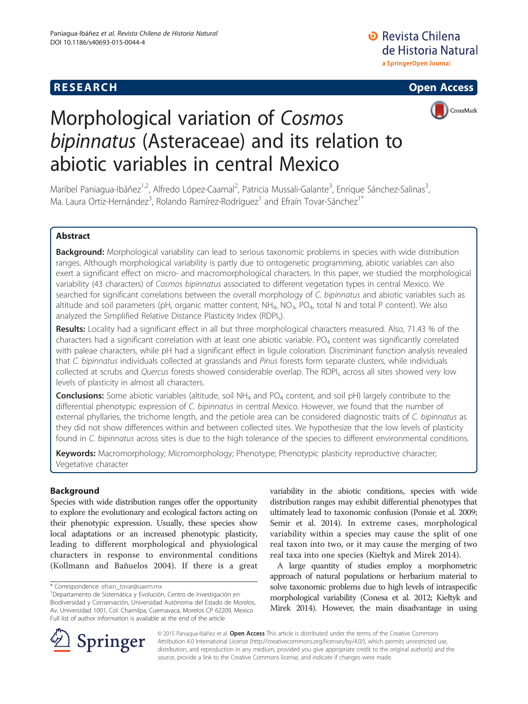## **RESEARCH CHE Open Access**





# Morphological variation of Cosmos bipinnatus (Asteraceae) and its relation to abiotic variables in central Mexico

Maribel Paniagua-Ibáñez<sup>1,2</sup>, Alfredo López-Caamal<sup>2</sup>, Patricia Mussali-Galante<sup>3</sup>, Enrique Sánchez-Salinas<sup>3</sup> , Ma. Laura Ortiz-Hernández<sup>3</sup>, Rolando Ramírez-Rodríguez<sup>1</sup> and Efraín Tovar-Sánchez<sup>1\*</sup>

## Abstract

**Background:** Morphological variability can lead to serious taxonomic problems in species with wide distribution ranges. Although morphological variability is partly due to ontogenetic programming, abiotic variables can also exert a significant effect on micro- and macromorphological characters. In this paper, we studied the morphological variability (43 characters) of Cosmos bipinnatus associated to different vegetation types in central Mexico. We searched for significant correlations between the overall morphology of C. bipinnatus and abiotic variables such as altitude and soil parameters (pH, organic matter content, NH<sub>4</sub>, NO<sub>3</sub>, PO<sub>4</sub>, total N and total P content). We also analyzed the Simplified Relative Distance Plasticity Index (RDPIs).

Results: Locality had a significant effect in all but three morphological characters measured. Also, 71.43 % of the characters had a significant correlation with at least one abiotic variable.  $PO_4$  content was significantly correlated with paleae characters, while pH had a significant effect in ligule coloration. Discriminant function analysis revealed that C. bipinnatus individuals collected at grasslands and Pinus forests form separate clusters, while individuals collected at scrubs and Quercus forests showed considerable overlap. The RDPI<sub>s</sub> across all sites showed very low levels of plasticity in almost all characters.

**Conclusions:** Some abiotic variables (altitude, soil NH<sub>4</sub> and PO<sub>4</sub> content, and soil pH) largely contribute to the differential phenotypic expression of C. bipinnatus in central Mexico. However, we found that the number of external phyllaries, the trichome length, and the petiole area can be considered diagnostic traits of C. bipinnatus as they did not show differences within and between collected sites. We hypothesize that the low levels of plasticity found in C. bipinnatus across sites is due to the high tolerance of the species to different environmental conditions.

Keywords: Macromorphology; Micromorphology; Phenotype; Phenotypic plasticity reproductive character; Vegetative character

## Background

Species with wide distribution ranges offer the opportunity to explore the evolutionary and ecological factors acting on their phenotypic expression. Usually, these species show local adaptations or an increased phenotypic plasticity, leading to different morphological and physiological characters in response to environmental conditions (Kollmann and Bañuelos [2004](#page-11-0)). If there is a great

variability in the abiotic conditions, species with wide distribution ranges may exhibit differential phenotypes that ultimately lead to taxonomic confusion (Ponsie et al. [2009](#page-11-0); Semir et al. [2014](#page-12-0)). In extreme cases, morphological variability within a species may cause the split of one real taxon into two, or it may cause the merging of two real taxa into one species (Kiełtyk and Mirek [2014\)](#page-11-0).

A large quantity of studies employ a morphometric approach of natural populations or herbarium material to solve taxonomic problems due to high levels of intraspecific morphological variability (Conesa et al. [2012;](#page-11-0) Kiełtyk and Mirek [2014\)](#page-11-0). However, the main disadvantage in using



© 2015 Paniagua-Ibáñez et al. Open Access This article is distributed under the terms of the Creative Commons Attribution 4.0 International License (<http://creativecommons.org/licenses/by/4.0/>), which permits unrestricted use, distribution, and reproduction in any medium, provided you give appropriate credit to the original author(s) and the source, provide a link to the Creative Commons license, and indicate if changes were made.

<sup>\*</sup> Correspondence: [efrain\\_tovar@uaem.mx](mailto:efrain_tovar@uaem.mx) <sup>1</sup>

Departamento de Sistemática y Evolución, Centro de Investigación en Biodiversidad y Conservación, Universidad Autónoma del Estado de Morelos, Av. Universidad 1001, Col. Chamilpa, Cuernavaca, Morelos CP 62209, Mexico Full list of author information is available at the end of the article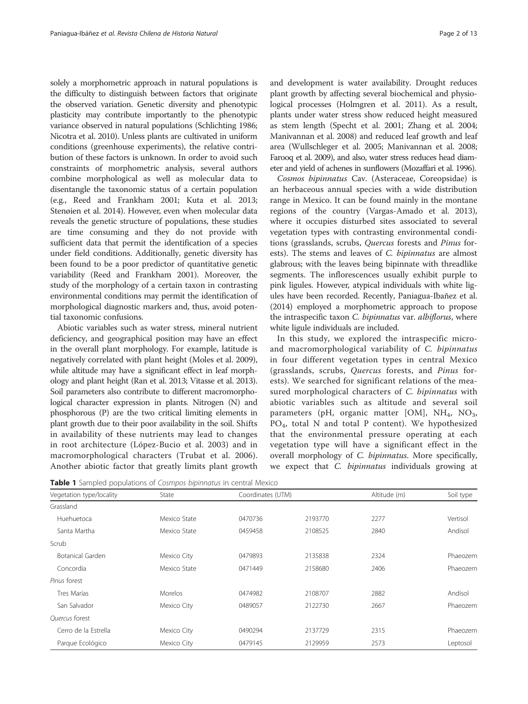<span id="page-1-0"></span>solely a morphometric approach in natural populations is the difficulty to distinguish between factors that originate the observed variation. Genetic diversity and phenotypic plasticity may contribute importantly to the phenotypic variance observed in natural populations (Schlichting [1986](#page-12-0); Nicotra et al. [2010](#page-11-0)). Unless plants are cultivated in uniform conditions (greenhouse experiments), the relative contribution of these factors is unknown. In order to avoid such constraints of morphometric analysis, several authors combine morphological as well as molecular data to disentangle the taxonomic status of a certain population (e.g., Reed and Frankham [2001;](#page-12-0) Kuta et al. [2013](#page-11-0); Stenøien et al. [2014](#page-12-0)). However, even when molecular data reveals the genetic structure of populations, these studies are time consuming and they do not provide with sufficient data that permit the identification of a species under field conditions. Additionally, genetic diversity has been found to be a poor predictor of quantitative genetic variability (Reed and Frankham [2001](#page-12-0)). Moreover, the study of the morphology of a certain taxon in contrasting environmental conditions may permit the identification of morphological diagnostic markers and, thus, avoid potential taxonomic confusions.

Abiotic variables such as water stress, mineral nutrient deficiency, and geographical position may have an effect in the overall plant morphology. For example, latitude is negatively correlated with plant height (Moles et al. [2009](#page-11-0)), while altitude may have a significant effect in leaf morphology and plant height (Ran et al. [2013;](#page-11-0) Vitasse et al. [2013](#page-12-0)). Soil parameters also contribute to different macromorphological character expression in plants. Nitrogen (N) and phosphorous (P) are the two critical limiting elements in plant growth due to their poor availability in the soil. Shifts in availability of these nutrients may lead to changes in root architecture (López-Bucio et al. [2003\)](#page-11-0) and in macromorphological characters (Trubat et al. [2006](#page-12-0)). Another abiotic factor that greatly limits plant growth

and development is water availability. Drought reduces plant growth by affecting several biochemical and physiological processes (Holmgren et al. [2011\)](#page-11-0). As a result, plants under water stress show reduced height measured as stem length (Specht et al. [2001](#page-12-0); Zhang et al. [2004](#page-12-0); Manivannan et al. [2008\)](#page-11-0) and reduced leaf growth and leaf area (Wullschleger et al. [2005;](#page-12-0) Manivannan et al. [2008](#page-11-0); Farooq et al. [2009\)](#page-11-0), and also, water stress reduces head diameter and yield of achenes in sunflowers (Mozaffari et al. [1996](#page-11-0)).

Cosmos bipinnatus Cav. (Asteraceae, Coreopsidae) is an herbaceous annual species with a wide distribution range in Mexico. It can be found mainly in the montane regions of the country (Vargas-Amado et al. [2013](#page-12-0)), where it occupies disturbed sites associated to several vegetation types with contrasting environmental conditions (grasslands, scrubs, Quercus forests and Pinus forests). The stems and leaves of C. bipinnatus are almost glabrous; with the leaves being bipinnate with threadlike segments. The inflorescences usually exhibit purple to pink ligules. However, atypical individuals with white ligules have been recorded. Recently, Paniagua-Ibañez et al. ([2014](#page-11-0)) employed a morphometric approach to propose the intraspecific taxon *C. bipinnatus* var. *albiflorus*, where white ligule individuals are included.

In this study, we explored the intraspecific microand macromorphological variability of C. bipinnatus in four different vegetation types in central Mexico (grasslands, scrubs, Quercus forests, and Pinus forests). We searched for significant relations of the measured morphological characters of C. bipinnatus with abiotic variables such as altitude and several soil parameters (pH, organic matter [OM],  $NH_4$ ,  $NO_3$ , PO<sub>4</sub>, total N and total P content). We hypothesized that the environmental pressure operating at each vegetation type will have a significant effect in the overall morphology of C. bipinnatus. More specifically, we expect that *C. bipinnatus* individuals growing at

| Vegetation type/locality | State        |         | Coordinates (UTM) |      | Soil type |
|--------------------------|--------------|---------|-------------------|------|-----------|
| Grassland                |              |         |                   |      |           |
| Huehuetoca               | Mexico State | 0470736 | 2193770           | 2277 | Vertisol  |
| Santa Martha             | Mexico State | 0459458 | 2108525           | 2840 | Andisol   |
| Scrub                    |              |         |                   |      |           |
| <b>Botanical Garden</b>  | Mexico City  | 0479893 | 2135838           | 2324 | Phaeozem  |
| Concordia                | Mexico State | 0471449 | 2158680           | 2406 | Phaeozem  |
| Pinus forest             |              |         |                   |      |           |
| Tres Marías              | Morelos      | 0474982 | 2108707           | 2882 | Andisol   |
| San Salvador             | Mexico City  | 0489057 | 2122730           | 2667 | Phaeozem  |
| Quercus forest           |              |         |                   |      |           |
| Cerro de la Estrella     | Mexico City  | 0490294 | 2137729           | 2315 | Phaeozem  |
| Parque Ecológico         | Mexico City  | 0479145 | 2129959           | 2573 | Leptosol  |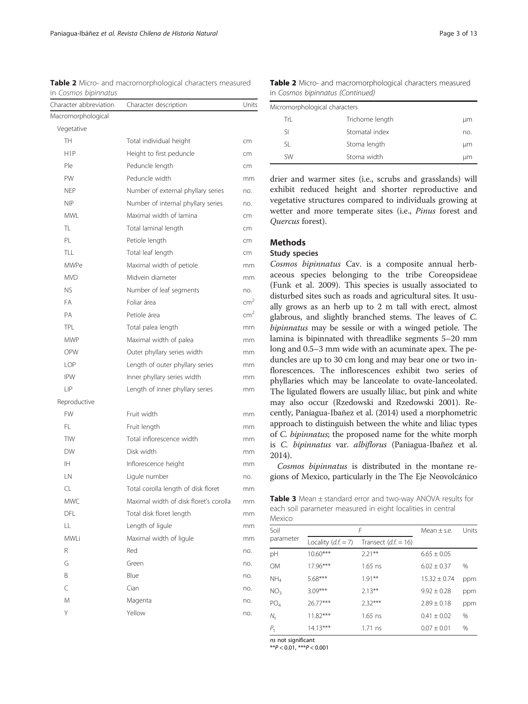Vegetative TH Total individual height cm H1P Height to first peduncle cm Ple Peduncle length cm PW Peduncle width mm NEP Number of external phyllary series no. NIP Number of internal phyllary series no. MWL Maximal width of lamina TL Total laminal length cm PL Petiole length cm TLL Total leaf length cm MWPe Maximal width of petiole mm MVD Midvein diameter mm NS Number of leaf segments no. FA Foliar área com<sup>2</sup> PA Petiole área cm<sup>2</sup> TPL Total palea length mm MWP Maximal width of palea mm OPW Outer phyllary series width mm LOP Length of outer phyllary series mm IPW Inner phyllary series width mm LIP Length of inner phyllary series mm Reproductive FW Fruit width mm FL Fruit length mm TIW Total inflorescence width mm DW Disk width mm IH Inflorescence height mm LN Liqule number no. CL Total corolla length of disk floret mm MWC Maximal width of disk floret's corolla mm DFL Total disk floret length mm LL Length of ligule mm MWLi Maximal width of ligule mm R Red no. G Green no. B Blue Blue no. C Cian Cian no. M Magenta no. Y Yellow no.

Table 2 Micro- and macromorphological characters measured in Cosmos bipinnatus (Continued)

| Micromorphological characters |                 |     |
|-------------------------------|-----------------|-----|
| Trl                           | Trichome length | μm  |
| SI                            | Stomatal index  | no. |
| SL.                           | Stoma length    | μm  |
| SW                            | Stoma width     |     |

drier and warmer sites (i.e., scrubs and grasslands) will exhibit reduced height and shorter reproductive and vegetative structures compared to individuals growing at wetter and more temperate sites (i.e., Pinus forest and Quercus forest).

#### **Methods**

## Study species

Cosmos bipinnatus Cav. is a composite annual herbaceous species belonging to the tribe Coreopsideae (Funk et al. [2009\)](#page-11-0). This species is usually associated to disturbed sites such as roads and agricultural sites. It usually grows as an herb up to 2 m tall with erect, almost glabrous, and slightly branched stems. The leaves of C. bipinnatus may be sessile or with a winged petiole. The lamina is bipinnated with threadlike segments 5–20 mm long and 0.5–3 mm wide with an acuminate apex. The peduncles are up to 30 cm long and may bear one or two inflorescences. The inflorescences exhibit two series of phyllaries which may be lanceolate to ovate-lanceolated. The ligulated flowers are usually liliac, but pink and white may also occur (Rzedowski and Rzedowski [2001](#page-12-0)). Recently, Paniagua-Ibañez et al. [\(2014](#page-11-0)) used a morphometric approach to distinguish between the white and liliac types of C. bipinnatus; the proposed name for the white morph is C. bipinnatus var. albiflorus (Paniagua-Ibañez et al. [2014](#page-11-0)).

Cosmos bipinnatus is distributed in the montane regions of Mexico, particularly in the The Eje Neovolcánico

**Table 3** Mean  $\pm$  standard error and two-way ANOVA results for each soil parameter measured in eight localities in central Mexico

| Soil            |            | Mean $+$ s.e.                                | Units          |      |
|-----------------|------------|----------------------------------------------|----------------|------|
| parameter       |            | Locality $(d.f. = 7)$ Transect $(d.f. = 16)$ |                |      |
| pH              | $10.60***$ | $221**$                                      | $6.65 + 0.05$  |      |
| <b>OM</b>       | $17.96***$ | $1.65$ ns                                    | $6.02 + 0.37$  | %    |
| NH <sub>4</sub> | $5.68***$  | $1.91***$                                    | $15.32 + 0.74$ | ppm  |
| NO <sub>3</sub> | $3.09***$  | $213**$                                      | $9.92 + 0.28$  | ppm  |
| PO <sub>4</sub> | $26.77***$ | $232***$                                     | $7.89 + 0.18$  | ppm  |
| N,              | $11.82***$ | $1.65$ ns                                    | $0.41 + 0.02$  | $\%$ |
| $P_{\rm t}$     | $14.13***$ | $1.71$ ns                                    | $0.07 + 0.01$  | $\%$ |
|                 |            |                                              |                |      |

ns not significant

 $**P < 0.01, **P < 0.001$ 

in Cosmos bipinnatus

Macromorphological

<span id="page-2-0"></span>Table 2 Micro- and macromorphological characters measured

Character abbreviation Character description Units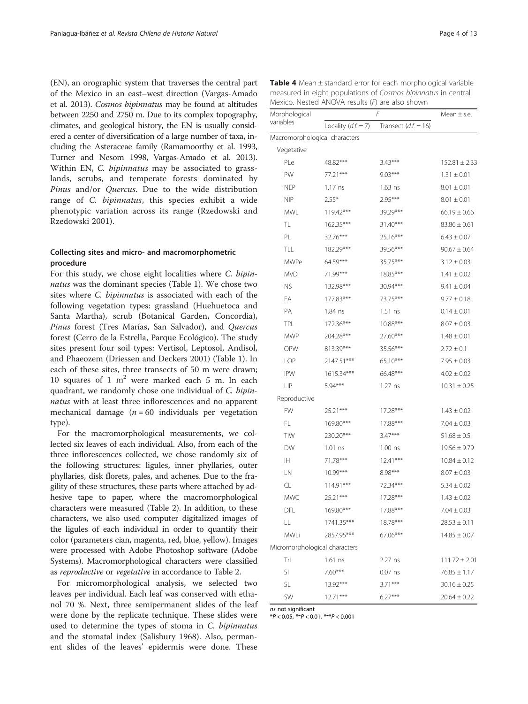<span id="page-3-0"></span>(EN), an orographic system that traverses the central part of the Mexico in an east–west direction (Vargas-Amado et al. [2013\)](#page-12-0). Cosmos bipinnatus may be found at altitudes between 2250 and 2750 m. Due to its complex topography, climates, and geological history, the EN is usually considered a center of diversification of a large number of taxa, including the Asteraceae family (Ramamoorthy et al. [1993](#page-11-0), Turner and Nesom [1998](#page-12-0), Vargas-Amado et al. [2013](#page-12-0)). Within EN, C. bipinnatus may be associated to grasslands, scrubs, and temperate forests dominated by Pinus and/or Quercus. Due to the wide distribution range of C. bipinnatus, this species exhibit a wide phenotypic variation across its range (Rzedowski and Rzedowski [2001\)](#page-12-0).

## Collecting sites and micro- and macromorphometric procedure

For this study, we chose eight localities where C. bipinnatus was the dominant species (Table [1\)](#page-1-0). We chose two sites where *C. bipinnatus* is associated with each of the following vegetation types: grassland (Huehuetoca and Santa Martha), scrub (Botanical Garden, Concordia), Pinus forest (Tres Marías, San Salvador), and Quercus forest (Cerro de la Estrella, Parque Ecológico). The study sites present four soil types: Vertisol, Leptosol, Andisol, and Phaeozem (Driessen and Deckers [2001](#page-11-0)) (Table [1\)](#page-1-0). In each of these sites, three transects of 50 m were drawn; 10 squares of 1  $m<sup>2</sup>$  were marked each 5 m. In each quadrant, we randomly chose one individual of C. bipinnatus with at least three inflorescences and no apparent mechanical damage ( $n = 60$  individuals per vegetation type).

For the macromorphological measurements, we collected six leaves of each individual. Also, from each of the three inflorescences collected, we chose randomly six of the following structures: ligules, inner phyllaries, outer phyllaries, disk florets, pales, and achenes. Due to the fragility of these structures, these parts where attached by adhesive tape to paper, where the macromorphological characters were measured (Table [2](#page-2-0)). In addition, to these characters, we also used computer digitalized images of the ligules of each individual in order to quantify their color (parameters cian, magenta, red, blue, yellow). Images were processed with Adobe Photoshop software (Adobe Systems). Macromorphological characters were classified as reproductive or vegetative in accordance to Table [2](#page-2-0).

For micromorphological analysis, we selected two leaves per individual. Each leaf was conserved with ethanol 70 %. Next, three semipermanent slides of the leaf were done by the replicate technique. These slides were used to determine the types of stoma in C. bipinnatus and the stomatal index (Salisbury [1968\)](#page-12-0). Also, permanent slides of the leaves' epidermis were done. These

| <b>Table 4</b> Mean ± standard error for each morphological variable |  |
|----------------------------------------------------------------------|--|
| measured in eight populations of Cosmos bipinnatus in central        |  |
| Mexico. Nested ANOVA results (F) are also shown                      |  |

| Morphological                 |                       | F                      | Mean $\pm$ s.e.   |  |  |  |
|-------------------------------|-----------------------|------------------------|-------------------|--|--|--|
| variables                     | Locality $(d.f. = 7)$ | Transect $(d.f. = 16)$ |                   |  |  |  |
| Macromorphological characters |                       |                        |                   |  |  |  |
| Vegetative                    |                       |                        |                   |  |  |  |
| PLe                           | 48.82***              | $3.43***$              | $152.81 \pm 2.33$ |  |  |  |
| PW                            | 77.21***              | $9.03***$              | $1.31 \pm 0.01$   |  |  |  |
| <b>NEP</b>                    | $1.17$ ns             | $1.63$ ns              | $8.01 \pm 0.01$   |  |  |  |
| <b>NIP</b>                    | $2.55*$               | 2.95***                | $8.01 \pm 0.01$   |  |  |  |
| <b>MWL</b>                    | $119.42***$           | 39.29***               | $66.19 \pm 0.66$  |  |  |  |
| TL                            | 162.35***             | $31.40***$             | $83.86 + 0.61$    |  |  |  |
| PL                            | 32.76***              | $25.16***$             | $6.43 \pm 0.07$   |  |  |  |
| TLL                           | 182.29***             | 39.56***               | $90.67 \pm 0.64$  |  |  |  |
| <b>MWPe</b>                   | 64.59***              | 35.75***               | $3.12 \pm 0.03$   |  |  |  |
| <b>MVD</b>                    | 71.99***              | 18.85***               | $1.41 \pm 0.02$   |  |  |  |
| <b>NS</b>                     | 132.98***             | $30.94***$             | $9.41 \pm 0.04$   |  |  |  |
| <b>FA</b>                     | 177.83***             | 73.75***               | $9.77 \pm 0.18$   |  |  |  |
| PA                            | 1.84 ns               | $1.51$ ns              | $0.14 \pm 0.01$   |  |  |  |
| <b>TPL</b>                    | 172.36***             | 10.88***               | $8.07 \pm 0.03$   |  |  |  |
| <b>MWP</b>                    | 204.28***             | 27.60***               | $1.48 + 0.01$     |  |  |  |
| <b>OPW</b>                    | 813.39***             | 35.56***               | $2.72 \pm 0.1$    |  |  |  |
| LOP                           | 2147.51***            | 65.10***               | $7.95 \pm 0.03$   |  |  |  |
| <b>IPW</b>                    | 1615.34***            | 66.48***               | $4.02 \pm 0.02$   |  |  |  |
| ЦP                            | $5.94***$             | $1.27$ ns              | $10.31 \pm 0.25$  |  |  |  |
| Reproductive                  |                       |                        |                   |  |  |  |
| FW                            | 25.21***              | $17.28***$             | $1.43 \pm 0.02$   |  |  |  |
| FL                            | 169.80***             | 17.88***               | $7.04 \pm 0.03$   |  |  |  |
| TIW                           | 230.20***             | $3.47***$              | $51.68 \pm 0.5$   |  |  |  |
| DW                            | $1.01$ ns             | $1.00$ ns              | $19.56 \pm 9.79$  |  |  |  |
| ΙH                            | 71.78***              | $12.41***$             | $10.84 \pm 0.12$  |  |  |  |
| LN                            | $10.99***$            | $8.98***$              | $8.07 \pm 0.03$   |  |  |  |
| CL                            | 114.91***             | 72.34***               | $5.34 \pm 0.02$   |  |  |  |
| MWC                           | 25.21***              | 17.28***               | $1.43 \pm 0.02$   |  |  |  |
| DFL                           | 169.80***             | $17.88***$             | $7.04 \pm 0.03$   |  |  |  |
| LL                            | 1741.35***            | 18.78***               | $28.53 \pm 0.11$  |  |  |  |
| MWLi                          | 2857.95***            | 67.06***               | $14.85 \pm 0.07$  |  |  |  |
| Micromorphological characters |                       |                        |                   |  |  |  |
| TrL                           | $1.61$ ns             | 2.27 ns                | $111.72 \pm 2.01$ |  |  |  |
| SI                            | $7.60***$             | $0.07$ ns              | $76.85 \pm 1.17$  |  |  |  |
| SL                            | 13.92***              | $3.71***$              | $30.16 \pm 0.25$  |  |  |  |
| SW                            | $12.71***$            | $6.27***$              | $20.64 \pm 0.22$  |  |  |  |

ns not significant

 $*P < 0.05$ ,  $*P < 0.01$ ,  $*+P < 0.001$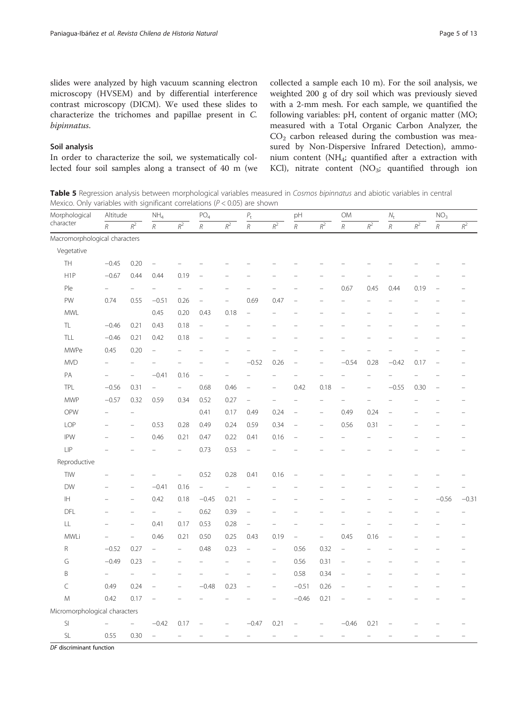<span id="page-4-0"></span>slides were analyzed by high vacuum scanning electron microscopy (HVSEM) and by differential interference contrast microscopy (DICM). We used these slides to characterize the trichomes and papillae present in C. bipinnatus.

#### Soil analysis

In order to characterize the soil, we systematically collected four soil samples along a transect of 40 m (we collected a sample each 10 m). For the soil analysis, we weighted 200 g of dry soil which was previously sieved with a 2-mm mesh. For each sample, we quantified the following variables: pH, content of organic matter (MO; measured with a Total Organic Carbon Analyzer, the  $CO<sub>2</sub>$  carbon released during the combustion was measured by Non-Dispersive Infrared Detection), ammonium content (NH4; quantified after a extraction with KCl), nitrate content  $(NO<sub>3</sub>;$  quantified through ion

Table 5 Regression analysis between morphological variables measured in Cosmos bipinnatus and abiotic variables in central Mexico. Only variables with significant correlations ( $P < 0.05$ ) are shown

| Morphological                 |                | Altitude                 |                          |                   | $\mathsf{PO}_4$          |       | $P_{\rm t}$              |                          | pH                       |                | OM                       |                          | $N_{\rm t}$       | NO <sub>3</sub>          |           |                          |
|-------------------------------|----------------|--------------------------|--------------------------|-------------------|--------------------------|-------|--------------------------|--------------------------|--------------------------|----------------|--------------------------|--------------------------|-------------------|--------------------------|-----------|--------------------------|
| character                     | $\overline{R}$ | $R^2$                    | $\overline{R}$           | $R^2$             | $\overline{R}$           | $R^2$ | $\overline{R}$           | $R^2$                    | $\overline{R}$           | $R^2$          | $\overline{R}$           | $R^2$                    | $\overline{R}$    | $R^2$                    | $\bar{R}$ | $R^2$                    |
| Macromorphological characters |                |                          |                          |                   |                          |       |                          |                          |                          |                |                          |                          |                   |                          |           |                          |
| Vegetative                    |                |                          |                          |                   |                          |       |                          |                          |                          |                |                          |                          |                   |                          |           |                          |
| TH                            | $-0.45$        | 0.20                     | $\overline{\phantom{0}}$ |                   |                          |       |                          |                          |                          |                |                          |                          |                   |                          |           |                          |
| H <sub>1</sub> P              | $-0.67$        | 0.44                     | 0.44                     | 0.19              |                          |       |                          |                          |                          |                |                          |                          |                   |                          |           |                          |
| Ple                           | $\overline{a}$ | $\overline{a}$           |                          |                   |                          |       |                          |                          |                          |                | 0.67                     | 0.45                     | 0.44              | 0.19                     |           |                          |
| PW                            | 0.74           | 0.55                     | $-0.51$                  | 0.26              |                          |       | 0.69                     | 0.47                     |                          |                |                          | $\overline{a}$           |                   |                          |           |                          |
| <b>MWL</b>                    |                |                          | 0.45                     | 0.20              | 0.43                     | 0.18  | $\overline{a}$           |                          |                          |                |                          |                          |                   |                          |           |                          |
| TL.                           | $-0.46$        | 0.21                     | 0.43                     | 0.18              | $\equiv$                 |       |                          |                          |                          |                |                          |                          |                   |                          |           | $\overline{\phantom{0}}$ |
| TLL                           | $-0.46$        | 0.21                     | 0.42                     | 0.18              | $\overline{\phantom{0}}$ |       |                          |                          |                          |                |                          |                          |                   |                          |           |                          |
| MWPe                          | 0.45           | 0.20                     | $\qquad \qquad -$        |                   |                          |       |                          |                          |                          |                |                          |                          |                   |                          |           | $\overline{\phantom{0}}$ |
| <b>MVD</b>                    |                |                          |                          |                   |                          |       | $-0.52$                  | 0.26                     |                          |                | $-0.54$                  | 0.28                     | $-0.42$           | 0.17                     |           |                          |
| PA                            |                | ÷                        | $-0.41$                  | 0.16              | ÷                        |       |                          |                          |                          |                |                          | $\overline{\phantom{0}}$ |                   |                          |           |                          |
| <b>TPL</b>                    | $-0.56$        | 0.31                     | $\overline{a}$           | $\equiv$          | 0.68                     | 0.46  |                          |                          | 0.42                     | 0.18           | $\overline{\phantom{0}}$ | $\overline{\phantom{0}}$ | $-0.55$           | 0.30                     |           |                          |
| <b>MWP</b>                    | $-0.57$        | 0.32                     | 0.59                     | 0.34              | 0.52                     | 0.27  |                          |                          | $\overline{a}$           | $\overline{a}$ | L,                       | $\overline{a}$           | $\overline{a}$    | L.                       |           |                          |
| OPW                           |                | $\equiv$                 |                          |                   | 0.41                     | 0.17  | 0.49                     | 0.24                     |                          | $\equiv$       | 0.49                     | 0.24                     | $\equiv$          |                          |           | $\overline{\phantom{0}}$ |
| LOP                           |                | $\overline{\phantom{0}}$ | 0.53                     | 0.28              | 0.49                     | 0.24  | 0.59                     | 0.34                     |                          | $\equiv$       | 0.56                     | 0.31                     | $\qquad \qquad -$ |                          |           |                          |
| <b>IPW</b>                    |                | L.                       | 0.46                     | 0.21              | 0.47                     | 0.22  | 0.41                     | 0.16                     |                          |                |                          | L.                       |                   |                          |           |                          |
| $LIP$                         |                |                          |                          | $\overline{a}$    | 0.73                     | 0.53  | $\overline{a}$           |                          |                          |                |                          |                          |                   |                          |           |                          |
| Reproductive                  |                |                          |                          |                   |                          |       |                          |                          |                          |                |                          |                          |                   |                          |           |                          |
| TIW                           |                |                          |                          | $\overline{a}$    | 0.52                     | 0.28  | 0.41                     | 0.16                     |                          |                |                          |                          |                   |                          |           |                          |
| <b>DW</b>                     |                |                          | $-0.41$                  | 0.16              | $\qquad \qquad -$        | L     |                          |                          |                          |                |                          |                          |                   |                          |           |                          |
| $\ensuremath{\mathsf{IH}}$    |                | $\overline{\phantom{0}}$ | 0.42                     | 0.18              | $-0.45$                  | 0.21  |                          |                          |                          |                |                          |                          |                   | $\overline{\phantom{0}}$ | $-0.56$   | $-0.31$                  |
| DFL                           |                |                          |                          | $\qquad \qquad =$ | 0.62                     | 0.39  |                          |                          |                          |                |                          |                          |                   |                          |           |                          |
| LL                            |                |                          | 0.41                     | 0.17              | 0.53                     | 0.28  | $\overline{\phantom{0}}$ |                          |                          |                |                          |                          |                   |                          |           |                          |
| MWLi                          |                | $\equiv$                 | 0.46                     | 0.21              | 0.50                     | 0.25  | 0.43                     | 0.19                     | $\overline{\phantom{0}}$ | $\equiv$       | 0.45                     | 0.16                     |                   |                          |           |                          |
| R                             | $-0.52$        | 0.27                     | $\overline{ }$           | $\overline{a}$    | 0.48                     | 0.23  |                          |                          | 0.56                     | 0.32           | L.                       |                          |                   |                          |           |                          |
| G                             | $-0.49$        | 0.23                     | $\overline{a}$           |                   |                          |       |                          |                          | 0.56                     | 0.31           |                          |                          |                   |                          |           |                          |
| B                             | $\overline{a}$ | $\overline{\phantom{0}}$ |                          |                   |                          |       |                          | $\overline{\phantom{0}}$ | 0.58                     | 0.34           |                          |                          |                   |                          |           |                          |
| $\subset$                     | 0.49           | 0.24                     | $\overline{a}$           |                   | $-0.48$                  | 0.23  |                          | L.                       | $-0.51$                  | 0.26           |                          |                          |                   |                          |           |                          |
| M                             | 0.42           | 0.17                     | $\overline{a}$           |                   |                          |       |                          |                          | $-0.46$                  | 0.21           |                          |                          |                   |                          |           |                          |
| Micromorphological characters |                |                          |                          |                   |                          |       |                          |                          |                          |                |                          |                          |                   |                          |           |                          |
| $\mathsf{S}\mathsf{I}$        |                |                          | $-0.42$                  | 0.17              |                          |       | $-0.47$                  | 0.21                     |                          |                | $-0.46$                  | 0.21                     |                   |                          |           |                          |
| SL                            | 0.55           | 0.30                     | $\overline{\phantom{0}}$ |                   |                          |       |                          |                          |                          |                |                          |                          |                   |                          |           | $\overline{\phantom{0}}$ |

DF discriminant function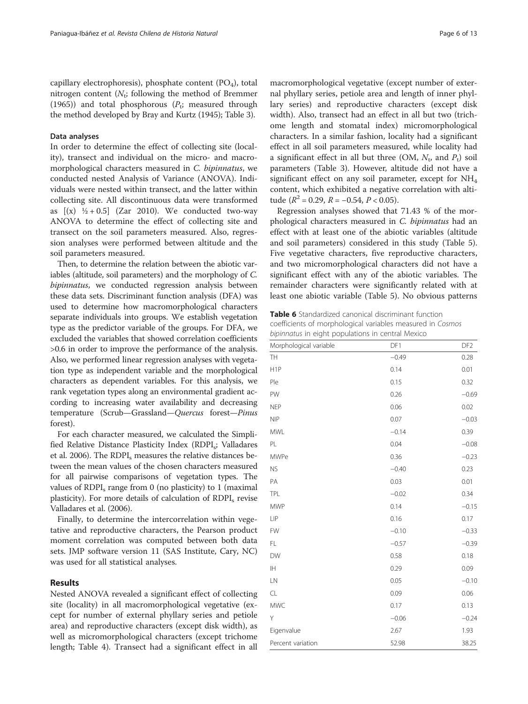<span id="page-5-0"></span>capillary electrophoresis), phosphate content  $(PO_4)$ , total nitrogen content  $(N_t;$  following the method of Bremmer ([1965](#page-11-0))) and total phosphorous ( $P_t$ ; measured through the method developed by Bray and Kurtz ([1945\)](#page-11-0); Table [3\)](#page-2-0).

#### Data analyses

In order to determine the effect of collecting site (locality), transect and individual on the micro- and macromorphological characters measured in C. bipinnatus, we conducted nested Analysis of Variance (ANOVA). Individuals were nested within transect, and the latter within collecting site. All discontinuous data were transformed as  $[(x)$  ½ + 0.5 (Zar [2010](#page-12-0)). We conducted two-way ANOVA to determine the effect of collecting site and transect on the soil parameters measured. Also, regression analyses were performed between altitude and the soil parameters measured.

Then, to determine the relation between the abiotic variables (altitude, soil parameters) and the morphology of C. bipinnatus, we conducted regression analysis between these data sets. Discriminant function analysis (DFA) was used to determine how macromorphological characters separate individuals into groups. We establish vegetation type as the predictor variable of the groups. For DFA, we excluded the variables that showed correlation coefficients >0.6 in order to improve the performance of the analysis. Also, we performed linear regression analyses with vegetation type as independent variable and the morphological characters as dependent variables. For this analysis, we rank vegetation types along an environmental gradient according to increasing water availability and decreasing temperature (Scrub—Grassland—Quercus forest—Pinus forest).

For each character measured, we calculated the Simplified Relative Distance Plasticity Index (RDPI<sub>s</sub>; Valladares et al. [2006\)](#page-12-0). The RDPI<sub>s</sub> measures the relative distances between the mean values of the chosen characters measured for all pairwise comparisons of vegetation types. The values of  $RDPI<sub>s</sub>$  range from 0 (no plasticity) to 1 (maximal plasticity). For more details of calculation of  $RDPI<sub>s</sub>$  revise Valladares et al. ([2006\)](#page-12-0).

Finally, to determine the intercorrelation within vegetative and reproductive characters, the Pearson product moment correlation was computed between both data sets. JMP software version 11 (SAS Institute, Cary, NC) was used for all statistical analyses.

#### Results

Nested ANOVA revealed a significant effect of collecting site (locality) in all macromorphological vegetative (except for number of external phyllary series and petiole area) and reproductive characters (except disk width), as well as micromorphological characters (except trichome length; Table [4\)](#page-3-0). Transect had a significant effect in all

macromorphological vegetative (except number of external phyllary series, petiole area and length of inner phyllary series) and reproductive characters (except disk width). Also, transect had an effect in all but two (trichome length and stomatal index) micromorphological characters. In a similar fashion, locality had a significant effect in all soil parameters measured, while locality had a significant effect in all but three (OM,  $N_t$ , and  $P_t$ ) soil parameters (Table [3\)](#page-2-0). However, altitude did not have a significant effect on any soil parameter, except for NH4 content, which exhibited a negative correlation with altitude ( $R^2 = 0.29$ ,  $R = -0.54$ ,  $P < 0.05$ ).

Regression analyses showed that 71.43 % of the morphological characters measured in C. bipinnatus had an effect with at least one of the abiotic variables (altitude and soil parameters) considered in this study (Table [5](#page-4-0)). Five vegetative characters, five reproductive characters, and two micromorphological characters did not have a significant effect with any of the abiotic variables. The remainder characters were significantly related with at least one abiotic variable (Table [5](#page-4-0)). No obvious patterns

Table 6 Standardized canonical discriminant function coefficients of morphological variables measured in Cosmos bipinnatus in eight populations in central Mexico

| Morphological variable | DF1     | DF <sub>2</sub> |
|------------------------|---------|-----------------|
| TH                     | $-0.49$ | 0.28            |
| H <sub>1</sub> P       | 0.14    | 0.01            |
| Ple                    | 0.15    | 0.32            |
| PW                     | 0.26    | $-0.69$         |
| <b>NEP</b>             | 0.06    | 0.02            |
| <b>NIP</b>             | 0.07    | $-0.03$         |
| <b>MWL</b>             | $-0.14$ | 0.39            |
| PL                     | 0.04    | $-0.08$         |
| MWPe                   | 0.36    | $-0.23$         |
| <b>NS</b>              | $-0.40$ | 0.23            |
| PA                     | 0.03    | 0.01            |
| TPL                    | $-0.02$ | 0.34            |
| <b>MWP</b>             | 0.14    | $-0.15$         |
| LIP                    | 0.16    | 0.17            |
| FW                     | $-0.10$ | $-0.33$         |
| FL                     | $-0.57$ | $-0.39$         |
| <b>DW</b>              | 0.58    | 0.18            |
| IH.                    | 0.29    | 0.09            |
| LN                     | 0.05    | $-0.10$         |
| CL                     | 0.09    | 0.06            |
| MWC                    | 0.17    | 0.13            |
| Υ                      | $-0.06$ | $-0.24$         |
| Eigenvalue             | 2.67    | 1.93            |
| Percent variation      | 52.98   | 38.25           |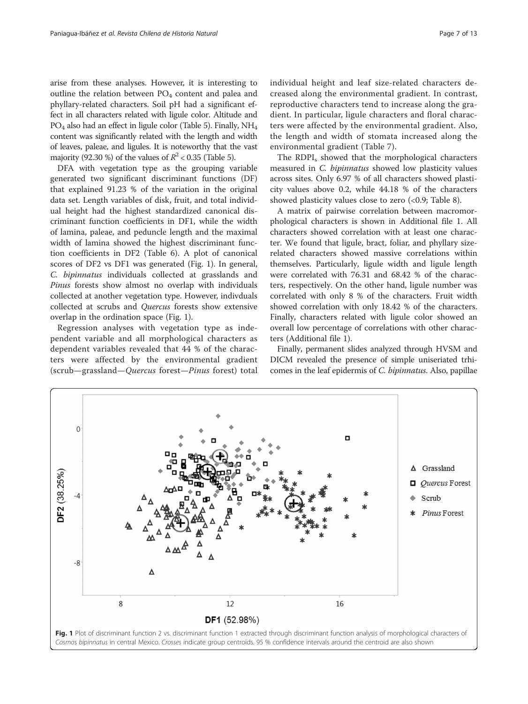<span id="page-6-0"></span>arise from these analyses. However, it is interesting to outline the relation between  $PO<sub>4</sub>$  content and palea and phyllary-related characters. Soil pH had a significant effect in all characters related with ligule color. Altitude and PO4 also had an effect in ligule color (Table [5](#page-4-0)). Finally, NH4 content was significantly related with the length and width of leaves, paleae, and ligules. It is noteworthy that the vast majority (92.30 %) of the values of  $R^2$  < 0.35 (Table [5](#page-4-0)).

DFA with vegetation type as the grouping variable generated two significant discriminant functions (DF) that explained 91.23 % of the variation in the original data set. Length variables of disk, fruit, and total individual height had the highest standardized canonical discriminant function coefficients in DF1, while the width of lamina, paleae, and peduncle length and the maximal width of lamina showed the highest discriminant function coefficients in DF2 (Table [6](#page-5-0)). A plot of canonical scores of DF2 vs DF1 was generated (Fig. 1). In general, C. bipinnatus individuals collected at grasslands and Pinus forests show almost no overlap with individuals collected at another vegetation type. However, indivduals collected at scrubs and Quercus forests show extensive overlap in the ordination space (Fig. 1).

Regression analyses with vegetation type as independent variable and all morphological characters as dependent variables revealed that 44 % of the characters were affected by the environmental gradient (scrub—grassland—Quercus forest—Pinus forest) total individual height and leaf size-related characters decreased along the environmental gradient. In contrast, reproductive characters tend to increase along the gradient. In particular, ligule characters and floral characters were affected by the environmental gradient. Also, the length and width of stomata increased along the environmental gradient (Table [7\)](#page-7-0).

The RDPI<sub>s</sub> showed that the morphological characters measured in C. bipinnatus showed low plasticity values across sites. Only 6.97 % of all characters showed plasticity values above 0.2, while 44.18 % of the characters showed plasticity values close to zero (<0.9; Table [8\)](#page-8-0).

A matrix of pairwise correlation between macromorphological characters is shown in Additional file [1](#page-11-0). All characters showed correlation with at least one character. We found that ligule, bract, foliar, and phyllary sizerelated characters showed massive correlations within themselves. Particularly, ligule width and ligule length were correlated with 76.31 and 68.42 % of the characters, respectively. On the other hand, ligule number was correlated with only 8 % of the characters. Fruit width showed correlation with only 18.42 % of the characters. Finally, characters related with ligule color showed an overall low percentage of correlations with other characters (Additional file [1](#page-11-0)).

Finally, permanent slides analyzed through HVSM and DICM revealed the presence of simple uniseriated trhicomes in the leaf epidermis of C. bipinnatus. Also, papillae

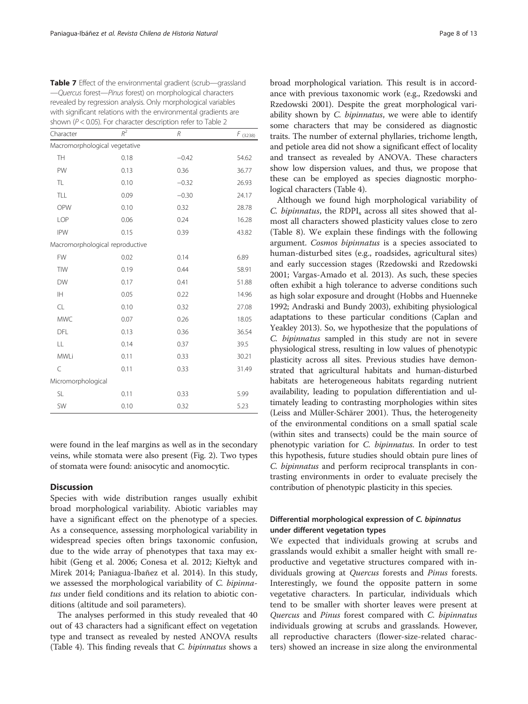<span id="page-7-0"></span>Table 7 Effect of the environmental gradient (scrub-grassland —Quercus forest—Pinus forest) on morphological characters revealed by regression analysis. Only morphological variables with significant relations with the environmental gradients are shown ( $P < 0.05$ ). For character description refer to Table [2](#page-2-0)

| Character                     | $R^2$                           | R       | $F_{(3238)}$ |
|-------------------------------|---------------------------------|---------|--------------|
| Macromorphological vegetative |                                 |         |              |
| <b>TH</b>                     | 0.18                            | $-0.42$ | 54.62        |
| PW                            | 0.13                            | 0.36    | 36.77        |
| TL                            | 0.10                            | $-0.32$ | 26.93        |
| TLL                           | 0.09                            | $-0.30$ | 24.17        |
| OPW                           | 0.10                            | 0.32    | 28.78        |
| LOP                           | 0.06                            | 0.24    | 16.28        |
| <b>IPW</b>                    | 0.15                            | 0.39    | 43.82        |
|                               | Macromorphological reproductive |         |              |
| FW                            | 0.02                            | 0.14    | 6.89         |
| <b>TIW</b>                    | 0.19                            | 0.44    | 58.91        |
| <b>DW</b>                     | 0.17                            | 0.41    | 51.88        |
| ΙH                            | 0.05                            | 0.22    | 14.96        |
| CL                            | 0.10                            | 0.32    | 27.08        |
| <b>MWC</b>                    | 0.07                            | 0.26    | 18.05        |
| DFL                           | 0.13                            | 0.36    | 36.54        |
| LL                            | 0.14                            | 0.37    | 39.5         |
| MWLi                          | 0.11                            | 0.33    | 30.21        |
| C                             | 0.11                            | 0.33    | 31.49        |
| Micromorphological            |                                 |         |              |
| <b>SL</b>                     | 0.11                            | 0.33    | 5.99         |
| SW                            | 0.10                            | 0.32    | 5.23         |

were found in the leaf margins as well as in the secondary veins, while stomata were also present (Fig. [2](#page-9-0)). Two types of stomata were found: anisocytic and anomocytic.

### **Discussion**

Species with wide distribution ranges usually exhibit broad morphological variability. Abiotic variables may have a significant effect on the phenotype of a species. As a consequence, assessing morphological variability in widespread species often brings taxonomic confusion, due to the wide array of phenotypes that taxa may exhibit (Geng et al. [2006;](#page-11-0) Conesa et al. [2012;](#page-11-0) Kiełtyk and Mirek [2014;](#page-11-0) Paniagua-Ibañez et al. [2014](#page-11-0)). In this study, we assessed the morphological variability of *C. bipinna*tus under field conditions and its relation to abiotic conditions (altitude and soil parameters).

The analyses performed in this study revealed that 40 out of 43 characters had a significant effect on vegetation type and transect as revealed by nested ANOVA results (Table [4\)](#page-3-0). This finding reveals that C. bipinnatus shows a

broad morphological variation. This result is in accordance with previous taxonomic work (e.g., Rzedowski and Rzedowski [2001](#page-12-0)). Despite the great morphological variability shown by C. bipinnatus, we were able to identify some characters that may be considered as diagnostic traits. The number of external phyllaries, trichome length, and petiole area did not show a significant effect of locality and transect as revealed by ANOVA. These characters show low dispersion values, and thus, we propose that these can be employed as species diagnostic morphological characters (Table [4\)](#page-3-0).

Although we found high morphological variability of C. bipinnatus, the RDPI, across all sites showed that almost all characters showed plasticity values close to zero (Table [8](#page-8-0)). We explain these findings with the following argument. Cosmos bipinnatus is a species associated to human-disturbed sites (e.g., roadsides, agricultural sites) and early succession stages (Rzedowski and Rzedowski [2001](#page-12-0); Vargas-Amado et al. [2013\)](#page-12-0). As such, these species often exhibit a high tolerance to adverse conditions such as high solar exposure and drought (Hobbs and Huenneke [1992](#page-11-0); Andraski and Bundy [2003](#page-11-0)), exhibiting physiological adaptations to these particular conditions (Caplan and Yeakley [2013\)](#page-11-0). So, we hypothesize that the populations of C. bipinnatus sampled in this study are not in severe physiological stress, resulting in low values of phenotypic plasticity across all sites. Previous studies have demonstrated that agricultural habitats and human-disturbed habitats are heterogeneous habitats regarding nutrient availability, leading to population differentiation and ultimately leading to contrasting morphologies within sites (Leiss and Müller-Schärer [2001\)](#page-11-0). Thus, the heterogeneity of the environmental conditions on a small spatial scale (within sites and transects) could be the main source of phenotypic variation for C. bipinnatus. In order to test this hypothesis, future studies should obtain pure lines of C. bipinnatus and perform reciprocal transplants in contrasting environments in order to evaluate precisely the contribution of phenotypic plasticity in this species.

## Differential morphological expression of C. bipinnatus under different vegetation types

We expected that individuals growing at scrubs and grasslands would exhibit a smaller height with small reproductive and vegetative structures compared with individuals growing at Quercus forests and Pinus forests. Interestingly, we found the opposite pattern in some vegetative characters. In particular, individuals which tend to be smaller with shorter leaves were present at Quercus and Pinus forest compared with C. bipinnatus individuals growing at scrubs and grasslands. However, all reproductive characters (flower-size-related characters) showed an increase in size along the environmental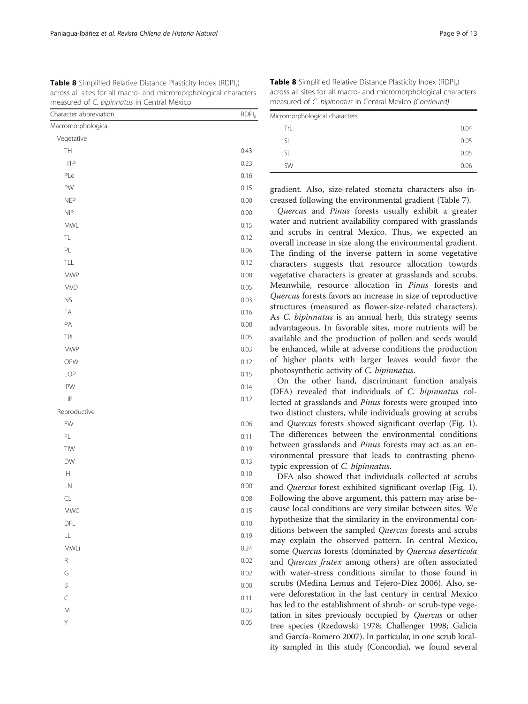<span id="page-8-0"></span>Table 8 Simplified Relative Distance Plasticity Index (RDPI<sub>s</sub>) across all sites for all macro- and micromorphological characters measured of C. bipinnatus in Central Mexico

| Character abbreviation | <b>RDPI</b> |
|------------------------|-------------|
| Macromorphological     |             |
| Vegetative             |             |
| TH                     | 0.43        |
| H <sub>1</sub> P       | 0.23        |
| PLe                    | 0.16        |
| PW                     | 0.15        |
| <b>NEP</b>             | 0.00        |
| <b>NIP</b>             | 0.00        |
| MWL                    | 0.15        |
| TL                     | 0.12        |
| PL                     | 0.06        |
| <b>TLL</b>             | 0.12        |
| <b>MWP</b>             | 0.08        |
| <b>MVD</b>             | 0.05        |
| <b>NS</b>              | 0.03        |
| FA                     | 0.16        |
| PA                     | 0.08        |
| <b>TPL</b>             | 0.05        |
| <b>MWP</b>             | 0.03        |
| OPW                    | 0.12        |
| LOP                    | 0.15        |
| <b>IPW</b>             | 0.14        |
| LIP                    | 0.12        |
| Reproductive           |             |
| FW                     | 0.06        |
| FL.                    | 0.11        |
| TIW                    | 0.19        |
| <b>DW</b>              | 0.13        |
| $\mathbb H$            | 0.10        |
| LN                     | 0.00        |
| CL                     | 0.08        |
| MWC                    | 0.15        |
| <b>DFL</b>             | 0.10        |
| LL                     | 0.19        |
| MWLi                   | 0.24        |
| R                      | 0.02        |
| G                      | 0.02        |
| B                      | 0.00        |
| $\subset$              | 0.11        |
| M                      | 0.03        |
| Y                      | 0.05        |
|                        |             |

Table 8 Simplified Relative Distance Plasticity Index (RDPI<sub>s</sub>) across all sites for all macro- and micromorphological characters measured of C. bipinnatus in Central Mexico (Continued)

| Micromorphological characters |  |
|-------------------------------|--|
| TrL<br>0.04                   |  |
| SI<br>0.05                    |  |
| SL<br>0.05                    |  |
| <b>SW</b><br>0.06             |  |

gradient. Also, size-related stomata characters also increased following the environmental gradient (Table [7](#page-7-0)).

Quercus and Pinus forests usually exhibit a greater water and nutrient availability compared with grasslands and scrubs in central Mexico. Thus, we expected an overall increase in size along the environmental gradient. The finding of the inverse pattern in some vegetative characters suggests that resource allocation towards vegetative characters is greater at grasslands and scrubs. Meanwhile, resource allocation in Pinus forests and Quercus forests favors an increase in size of reproductive structures (measured as flower-size-related characters). As *C. bipinnatus* is an annual herb, this strategy seems advantageous. In favorable sites, more nutrients will be available and the production of pollen and seeds would be enhanced, while at adverse conditions the production of higher plants with larger leaves would favor the photosynthetic activity of C. bipinnatus.

On the other hand, discriminant function analysis (DFA) revealed that individuals of C. bipinnatus collected at grasslands and Pinus forests were grouped into two distinct clusters, while individuals growing at scrubs and Quercus forests showed significant overlap (Fig. [1](#page-6-0)). The differences between the environmental conditions between grasslands and Pinus forests may act as an environmental pressure that leads to contrasting phenotypic expression of C. bipinnatus.

DFA also showed that individuals collected at scrubs and Quercus forest exhibited significant overlap (Fig. [1](#page-6-0)). Following the above argument, this pattern may arise because local conditions are very similar between sites. We hypothesize that the similarity in the environmental conditions between the sampled Quercus forests and scrubs may explain the observed pattern. In central Mexico, some Quercus forests (dominated by Quercus deserticola and Quercus frutex among others) are often associated with water-stress conditions similar to those found in scrubs (Medina Lemus and Tejero-Díez [2006](#page-11-0)). Also, severe deforestation in the last century in central Mexico has led to the establishment of shrub- or scrub-type vegetation in sites previously occupied by Quercus or other tree species (Rzedowski [1978;](#page-12-0) Challenger [1998;](#page-11-0) Galicia and García-Romero [2007\)](#page-11-0). In particular, in one scrub locality sampled in this study (Concordia), we found several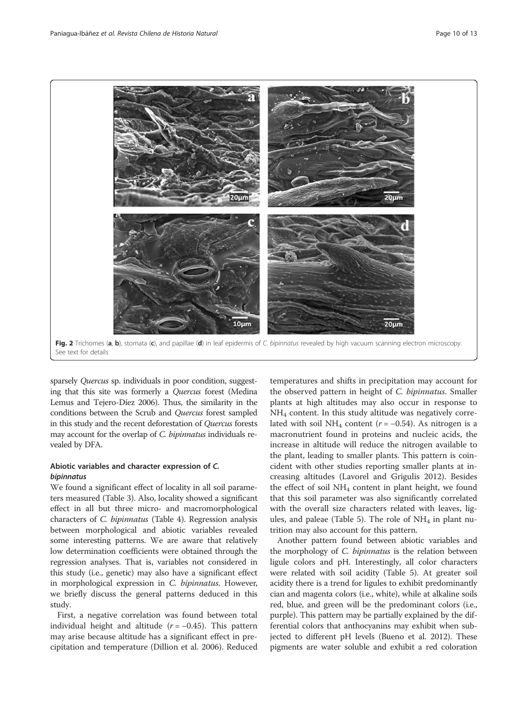<span id="page-9-0"></span>

sparsely Quercus sp. individuals in poor condition, suggesting that this site was formerly a Quercus forest (Medina Lemus and Tejero-Díez [2006\)](#page-11-0). Thus, the similarity in the conditions between the Scrub and Quercus forest sampled in this study and the recent deforestation of Quercus forests may account for the overlap of C. bipinnatus individuals revealed by DFA.

## Abiotic variables and character expression of C. bipinnatus

We found a significant effect of locality in all soil parameters measured (Table [3\)](#page-2-0). Also, locality showed a significant effect in all but three micro- and macromorphological characters of C. bipinnatus (Table [4](#page-3-0)). Regression analysis between morphological and abiotic variables revealed some interesting patterns. We are aware that relatively low determination coefficients were obtained through the regression analyses. That is, variables not considered in this study (i.e., genetic) may also have a significant effect in morphological expression in C. bipinnatus. However, we briefly discuss the general patterns deduced in this study.

First, a negative correlation was found between total individual height and altitude ( $r = -0.45$ ). This pattern may arise because altitude has a significant effect in precipitation and temperature (Dillion et al. [2006\)](#page-11-0). Reduced

temperatures and shifts in precipitation may account for the observed pattern in height of C. bipinnatus. Smaller plants at high altitudes may also occur in response to NH4 content. In this study altitude was negatively correlated with soil NH<sub>4</sub> content ( $r = -0.54$ ). As nitrogen is a macronutrient found in proteins and nucleic acids, the increase in altitude will reduce the nitrogen available to the plant, leading to smaller plants. This pattern is coincident with other studies reporting smaller plants at increasing altitudes (Lavorel and Grigulis [2012](#page-11-0)). Besides the effect of soil  $NH<sub>4</sub>$  content in plant height, we found that this soil parameter was also significantly correlated with the overall size characters related with leaves, lig-ules, and paleae (Table [5\)](#page-4-0). The role of  $NH<sub>4</sub>$  in plant nutrition may also account for this pattern.

Another pattern found between abiotic variables and the morphology of C. *bipinnatus* is the relation between ligule colors and pH. Interestingly, all color characters were related with soil acidity (Table [5](#page-4-0)). At greater soil acidity there is a trend for ligules to exhibit predominantly cian and magenta colors (i.e., white), while at alkaline soils red, blue, and green will be the predominant colors (i.e., purple). This pattern may be partially explained by the differential colors that anthocyanins may exhibit when subjected to different pH levels (Bueno et al. [2012\)](#page-11-0). These pigments are water soluble and exhibit a red coloration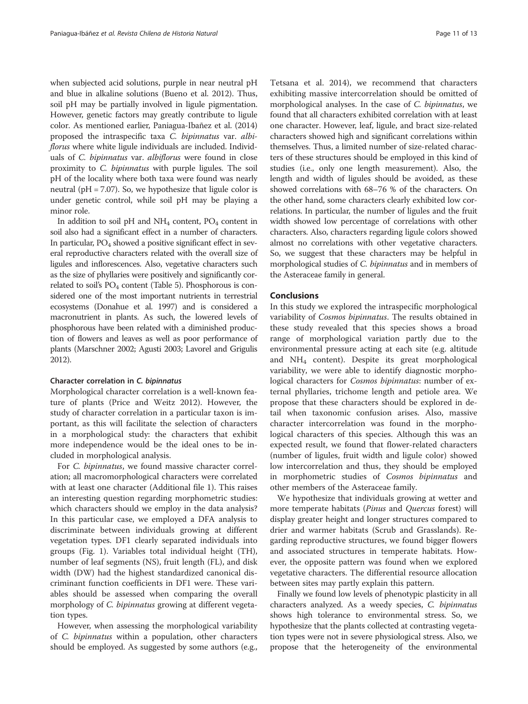when subjected acid solutions, purple in near neutral pH and blue in alkaline solutions (Bueno et al. [2012\)](#page-11-0). Thus, soil pH may be partially involved in ligule pigmentation. However, genetic factors may greatly contribute to ligule color. As mentioned earlier, Paniagua-Ibañez et al. [\(2014](#page-11-0)) proposed the intraspecific taxa C. bipinnatus var. albiflorus where white ligule individuals are included. Individuals of C. bipinnatus var. albiflorus were found in close proximity to C. bipinnatus with purple ligules. The soil pH of the locality where both taxa were found was nearly neutral ( $pH = 7.07$ ). So, we hypothesize that ligule color is under genetic control, while soil pH may be playing a minor role.

In addition to soil pH and  $NH_4$  content,  $PO_4$  content in soil also had a significant effect in a number of characters. In particular,  $PO_4$  showed a positive significant effect in several reproductive characters related with the overall size of ligules and inflorescences. Also, vegetative characters such as the size of phyllaries were positively and significantly correlated to soil's  $PO_4$  content (Table [5\)](#page-4-0). Phosphorous is considered one of the most important nutrients in terrestrial ecosystems (Donahue et al. [1997](#page-11-0)) and is considered a macronutrient in plants. As such, the lowered levels of phosphorous have been related with a diminished production of flowers and leaves as well as poor performance of plants (Marschner [2002](#page-11-0); Agusti [2003](#page-11-0); Lavorel and Grigulis [2012\)](#page-11-0).

#### Character correlation in C. bipinnatus

Morphological character correlation is a well-known feature of plants (Price and Weitz [2012\)](#page-11-0). However, the study of character correlation in a particular taxon is important, as this will facilitate the selection of characters in a morphological study: the characters that exhibit more independence would be the ideal ones to be included in morphological analysis.

For C. bipinnatus, we found massive character correlation; all macromorphological characters were correlated with at least one character (Additional file [1](#page-11-0)). This raises an interesting question regarding morphometric studies: which characters should we employ in the data analysis? In this particular case, we employed a DFA analysis to discriminate between individuals growing at different vegetation types. DF1 clearly separated individuals into groups (Fig. [1\)](#page-6-0). Variables total individual height (TH), number of leaf segments (NS), fruit length (FL), and disk width (DW) had the highest standardized canonical discriminant function coefficients in DF1 were. These variables should be assessed when comparing the overall morphology of *C. bipinnatus* growing at different vegetation types.

However, when assessing the morphological variability of C. bipinnatus within a population, other characters should be employed. As suggested by some authors (e.g.,

Tetsana et al. [2014](#page-12-0)), we recommend that characters exhibiting massive intercorrelation should be omitted of morphological analyses. In the case of C. bipinnatus, we found that all characters exhibited correlation with at least one character. However, leaf, ligule, and bract size-related characters showed high and significant correlations within themselves. Thus, a limited number of size-related characters of these structures should be employed in this kind of studies (i.e., only one length measurement). Also, the length and width of ligules should be avoided, as these showed correlations with 68–76 % of the characters. On the other hand, some characters clearly exhibited low correlations. In particular, the number of ligules and the fruit width showed low percentage of correlations with other characters. Also, characters regarding ligule colors showed almost no correlations with other vegetative characters. So, we suggest that these characters may be helpful in morphological studies of C. bipinnatus and in members of the Asteraceae family in general.

#### Conclusions

In this study we explored the intraspecific morphological variability of Cosmos bipinnatus. The results obtained in these study revealed that this species shows a broad range of morphological variation partly due to the environmental pressure acting at each site (e.g. altitude and NH4 content). Despite its great morphological variability, we were able to identify diagnostic morphological characters for Cosmos bipinnatus: number of external phyllaries, trichome length and petiole area. We propose that these characters should be explored in detail when taxonomic confusion arises. Also, massive character intercorrelation was found in the morphological characters of this species. Although this was an expected result, we found that flower-related characters (number of ligules, fruit width and ligule color) showed low intercorrelation and thus, they should be employed in morphometric studies of Cosmos bipinnatus and other members of the Asteraceae family.

We hypothesize that individuals growing at wetter and more temperate habitats (Pinus and Quercus forest) will display greater height and longer structures compared to drier and warmer habitats (Scrub and Grasslands). Regarding reproductive structures, we found bigger flowers and associated structures in temperate habitats. However, the opposite pattern was found when we explored vegetative characters. The differential resource allocation between sites may partly explain this pattern.

Finally we found low levels of phenotypic plasticity in all characters analyzed. As a weedy species, C. bipinnatus shows high tolerance to environmental stress. So, we hypothesize that the plants collected at contrasting vegetation types were not in severe physiological stress. Also, we propose that the heterogeneity of the environmental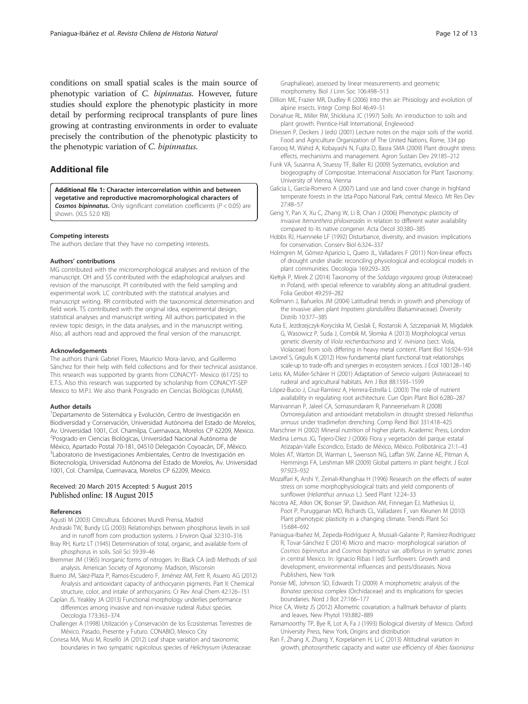<span id="page-11-0"></span>conditions on small spatial scales is the main source of phenotypic variation of C. bipinnatus. However, future studies should explore the phenotypic plasticity in more detail by performing reciprocal transplants of pure lines growing at contrasting environments in order to evaluate precisely the contribution of the phenotypic plasticity to the phenotypic variation of C. bipinnatus.

## Additional file

[Additional file 1:](http://www.revchilhistnat.com/content/supplementary/s40693-015-0044-4-s1.xls) Character intercorrelation within and between vegetative and reproductive macromorphological characters of **Cosmos bipinnatus.** Only significant correlation coefficients ( $P < 0.05$ ) are shown. (XLS 52.0 KB)

#### Competing interests

The authors declare that they have no competing interests.

#### Authors' contributions

MG contributed with the micromorphological analyses and revision of the manuscript. OH and SS contributed with the edaphological analyses and revision of the manuscript. PI contributed with the field sampling and experimental work. LC contributed with the statistical analyses and manuscript writing. RR contributed with the taxonomical determination and field work. TS contributed with the original idea, experimental design, statistical analyses and manuscript writing. All authors participated in the review topic design, in the data analyses, and in the manuscript writing. Also, all authors read and approved the final version of the manuscript.

#### Acknowledgements

The authors thank Gabriel Flores, Mauricio Mora-Jarvio, and Guillermo Sánchez for their help with field collections and for their technical assistance. This research was supported by grants from CONACYT- Mexico (61725) to E.T.S. Also this research was supported by scholarship from CONACYT-SEP Mexico to M.P.I. We also thank Posgrado en Ciencias Biológicas (UNAM).

#### Author details

<sup>1</sup>Departamento de Sistemática y Evolución, Centro de Investigación en Biodiversidad y Conservación, Universidad Autónoma del Estado de Morelos, Av. Universidad 1001, Col. Chamilpa, Cuernavaca, Morelos CP 62209, Mexico. <sup>2</sup>Posgrado en Ciencias Biológicas, Universidad Nacional Autónoma de México, Apartado Postal 70-181, 04510 Delegación Coyoacán, DF, México. <sup>3</sup> Laboratorio de Investigaciones Ambientales, Centro de Investigación en Biotecnología, Universidad Autónoma del Estado de Morelos, Av. Universidad 1001, Col. Chamilpa, Cuernavaca, Morelos CP 62209, Mexico.

#### Received: 20 March 2015 Accepted: 5 August 2015 Published online: 18 August 2015

#### References

- Agusti M (2003) Citricultura. Ediciones Mundi Prensa, Madrid
- Andraski TW, Bundy LG (2003) Relationships between phosphorus levels in soil and in runoff from corn production systems. J Environ Qual 32:310–316
- Bray RH, Kurtz LT (1945) Determination of total, organic, and available form of phosphorus in soils. Soil Sci 59:39–46
- Bremmer JM (1965) Inorganic forms of nitrogen. In: Black CA (ed) Methods of soil analysis. American Society of Agronomy. Madison, Wisconsin
- Bueno JM, Sáez-Plaza P, Ramos-Escudero F, Jiménez AM, Fett R, Asuero AG (2012) Analysis and antioxidant capacity of anthocyanin pigments. Part II: Chemical structure, color, and intake of anthocyanins. Cr Rev Anal Chem 42:126–151
- Caplan JS, Yeakley JA (2013) Functional morphology underlies performance differences among invasive and non-invasive ruderal Rubus species. Oecologia 173:363–374
- Challenger A (1998) Utilización y Conservación de los Ecosistemas Terrestres de México. Pasado, Presente y Futuro. CONABIO, Mexico City
- Conesa MA, Musi M, Roselló JA (2012) Leaf shape variation and taxonomic boundaries in two sympatric rupicolous species of Helichrysum (Asteraceae:

Gnaphalieae), assessed by linear measurements and geometric morphometry. Biol J Linn Soc 106:498–513

- Dillion ME, Frazier MR, Dudley R (2006) Into thin air: Phisiology and evolution of alpine insects. Integr Comp Biol 46:49–51
- Donahue RL, Miller RW, Shickluna JC (1997) Soils: An introduction to soils and plant growth. Prentice-Hall International, Englewood
- Driessen P, Deckers J (eds) (2001) Lecture notes on the major soils of the world. Food and Agriculture Organization of The United Nations, Rome, 334 pp
- Farooq M, Wahid A, Kobayashi N, Fujita D, Basra SMA (2009) Plant drought stress: effects, mechanisms and management. Agron Sustain Dev 29:185–212
- Funk VA, Susanna A, Stuessy TF, Baller RJ (2009) Systematics, evolution and biogeography of Compositae. Internacional Association for Plant Taxonomy. University of Vienna, Vienna
- Galicia L, García-Romero A (2007) Land use and land cover change in highland temperate forests in the Izta-Popo National Park, central Mexico. Mt Res Dev 27:48–57
- Geng Y, Pan X, Xu C, Zhang W, Li B, Chan J (2006) Phenotypic plasticity of invasive Iternanthera philoxeroides in relation to different water availability compared to its native congener. Acta Oecol 30:380–385
- Hobbs RJ, Huenneke LF (1992) Disturbance, diversity, and invasion: implications for conservation. Conserv Biol 6:324–337
- Holmgren M, Gómez-Aparicio L, Quero JL, Valladares F (2011) Non-linear effects of drought under shade: reconciling physiological and ecological models in plant communities. Oecologia 169:293–305
- Kiełtyk P, Mirek Z (2014) Taxonomy of the Solidago virgaurea group (Asteraceae) in Poland, with special reference to variability along an altitudinal gradient. Folia Geobot 49:259–282
- Kollmann J, Bañuelos JM (2004) Latitudinal trends in growth and phenology of the invasive alien plant Impatiens glandulifera (Balsaminaceae). Diversity Distrib 10:377–385
- Kuta E, Jezdrzejczyk-Koryciska M, Cieslak E, Rostanski A, Szczepaniak M, Migdałek G, Wasowicz P, Suda J, Combik M, Słomka A (2013) Morphological versus genetic diversity of Viola reichenbachiana and V. riviniana (sect. Viola, Violaceae) from soils differing in heavy metal content. Plant Biol 16:924–934
- Lavorel S, Grigulis K (2012) How fundamental plant functional trait relationships scale-up to trade-offs and synergies in ecosystem services. J Ecol 100:128–140
- Leiss KA, Müller-Schärer H (2001) Adaptation of Senecio vulgaris (Asteraceae) to ruderal and agricultural habitats. Am J Bot 88:1593–1599
- López-Bucio J, Cruz-Ramírez A, Herrera-Estrella L (2003) The role of nutrient availability in regulating root architecture. Curr Opin Plant Biol 6:280–287
- Manivannan P, Jaleel CA, Somasundaram R, Panneerselvam R (2008) Osmoregulation and antioxidant metabolism in drought stressed Helianthus annuus under triadimefon drenching. Comp Rend Biol 331:418–425
- Marschner H (2002) Mineral nutrition of higher plants. Academic Press, London Medina Lemus JG, Tejero-Díez J (2006) Flora y vegetación del parque estatal
- Atizapán-Valle Escondico, Estado de México, México. Polibotánica 21:1–43 Moles AT, Warton DI, Warman L, Swenson NG, Laffan SW, Zanne AE, Pitman A, Hemmings FA, Leishman MR (2009) Global patterns in plant height. J Ecol 97:923–932
- Mozaffari K, Arshi Y, Zeinali-Khanghaa H (1996) Research on the effects of water stress on some morphophysiological traits and yield components of sunflower (Helianthus annuus L.). Seed Plant 12:24–33
- Nicotra AE, Atkin OK, Bonser SP, Davidson AM, Finnegan EJ, Mathesius U, Poot P, Purugganan MD, Richards CL, Valladares F, van Kleunen M (2010) Plant phenotypic plasticity in a changing climate. Trends Plant Sci 15:684–692
- Paniagua-Ibañez M, Zepeda-Rodríguez A, Mussali-Galante P, Ramírez-Rodríguez R, Tovar-Sánchez E (2014) Micro and macro- morphological variation of Cosmos bipinnatus and Cosmos bipinnatus var. albiflorus in symatric zones in central Mexico. In: Ignacio Ribas I (ed) Sunflowers. Growth and development, environmental influences and pests/diseases. Nova Publishers, New York
- Ponsie ME, Johnson SD, Edwards TJ (2009) A morphometric analysis of the Bonatea speciosa complex (Orchidaceae) and its implications for species boundaries. Nord J Bot 27:166–177
- Price CA, Weitz JS (2012) Allometric covariation: a hallmark behavior of plants and leaves. New Phytol 193:882–889
- Ramamoorthy TP, Bye R, Lot A, Fa J (1993) Biological diversity of Mexico. Oxford University Press, New York, Origins and distribution
- Ran F, Zhang X, Zhang Y, Korpelainen H, Li C (2013) Altitudinal variation in growth, photosynthetic capacity and water use efficiency of Abies faxoniana